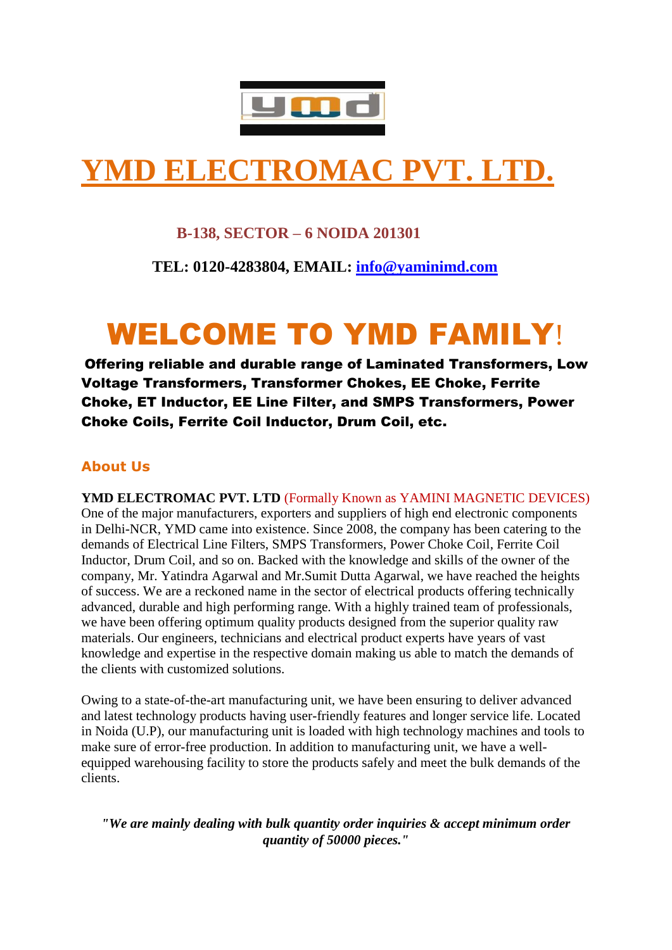

# **YMD ELECTROMAC PVT. LTD.**

# **B-138, SECTOR – 6 NOIDA 201301**

 **TEL: 0120-4283804, EMAIL: [info@yaminimd.com](mailto:info@yaminimd.com)**

# WELCOME TO YMD FAMILY!

Offering reliable and durable range of Laminated Transformers, Low Voltage Transformers, Transformer Chokes, EE Choke, Ferrite Choke, ET Inductor, EE Line Filter, and SMPS Transformers, Power Choke Coils, Ferrite Coil Inductor, Drum Coil, etc.

# **About Us**

YMD ELECTROMAC PVT. LTD (Formally Known as YAMINI MAGNETIC DEVICES) One of the major manufacturers, exporters and suppliers of high end electronic components in Delhi-NCR, YMD came into existence. Since 2008, the company has been catering to the demands of Electrical Line Filters, SMPS Transformers, Power Choke Coil, Ferrite Coil Inductor, Drum Coil, and so on. Backed with the knowledge and skills of the owner of the company, Mr. Yatindra Agarwal and Mr.Sumit Dutta Agarwal, we have reached the heights of success. We are a reckoned name in the sector of electrical products offering technically advanced, durable and high performing range. With a highly trained team of professionals, we have been offering optimum quality products designed from the superior quality raw materials. Our engineers, technicians and electrical product experts have years of vast knowledge and expertise in the respective domain making us able to match the demands of the clients with customized solutions.

Owing to a state-of-the-art manufacturing unit, we have been ensuring to deliver advanced and latest technology products having user-friendly features and longer service life. Located in Noida (U.P), our manufacturing unit is loaded with high technology machines and tools to make sure of error-free production. In addition to manufacturing unit, we have a wellequipped warehousing facility to store the products safely and meet the bulk demands of the clients.

*"We are mainly dealing with bulk quantity order inquiries & accept minimum order quantity of 50000 pieces."*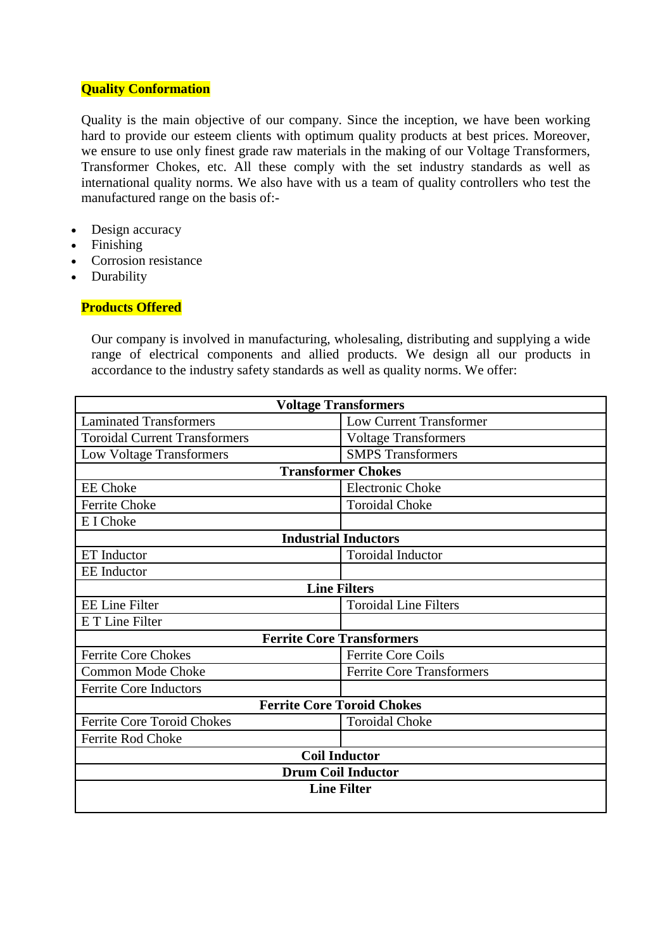#### **Quality Conformation**

Quality is the main objective of our company. Since the inception, we have been working hard to provide our esteem clients with optimum quality products at best prices. Moreover, we ensure to use only finest grade raw materials in the making of our Voltage Transformers, Transformer Chokes, etc. All these comply with the set industry standards as well as international quality norms. We also have with us a team of quality controllers who test the manufactured range on the basis of:-

- Design accuracy
- Finishing
- Corrosion resistance
- Durability

# **Products Offered**

Our company is involved in manufacturing, wholesaling, distributing and supplying a wide range of electrical components and allied products. We design all our products in accordance to the industry safety standards as well as quality norms. We offer:

| <b>Voltage Transformers</b>          |                                  |  |  |  |
|--------------------------------------|----------------------------------|--|--|--|
| <b>Laminated Transformers</b>        | <b>Low Current Transformer</b>   |  |  |  |
| <b>Toroidal Current Transformers</b> | <b>Voltage Transformers</b>      |  |  |  |
| Low Voltage Transformers             | <b>SMPS</b> Transformers         |  |  |  |
| <b>Transformer Chokes</b>            |                                  |  |  |  |
| <b>EE</b> Choke                      | <b>Electronic Choke</b>          |  |  |  |
| <b>Ferrite Choke</b>                 | <b>Toroidal Choke</b>            |  |  |  |
| E I Choke                            |                                  |  |  |  |
| <b>Industrial Inductors</b>          |                                  |  |  |  |
| <b>ET</b> Inductor                   | <b>Toroidal Inductor</b>         |  |  |  |
| <b>EE</b> Inductor                   |                                  |  |  |  |
|                                      | <b>Line Filters</b>              |  |  |  |
| <b>EE Line Filter</b>                | <b>Toroidal Line Filters</b>     |  |  |  |
| E T Line Filter                      |                                  |  |  |  |
| <b>Ferrite Core Transformers</b>     |                                  |  |  |  |
| <b>Ferrite Core Chokes</b>           | <b>Ferrite Core Coils</b>        |  |  |  |
| Common Mode Choke                    | <b>Ferrite Core Transformers</b> |  |  |  |
| <b>Ferrite Core Inductors</b>        |                                  |  |  |  |
| <b>Ferrite Core Toroid Chokes</b>    |                                  |  |  |  |
| Ferrite Core Toroid Chokes           | <b>Toroidal Choke</b>            |  |  |  |
| Ferrite Rod Choke                    |                                  |  |  |  |
| <b>Coil Inductor</b>                 |                                  |  |  |  |
| <b>Drum Coil Inductor</b>            |                                  |  |  |  |
| <b>Line Filter</b>                   |                                  |  |  |  |
|                                      |                                  |  |  |  |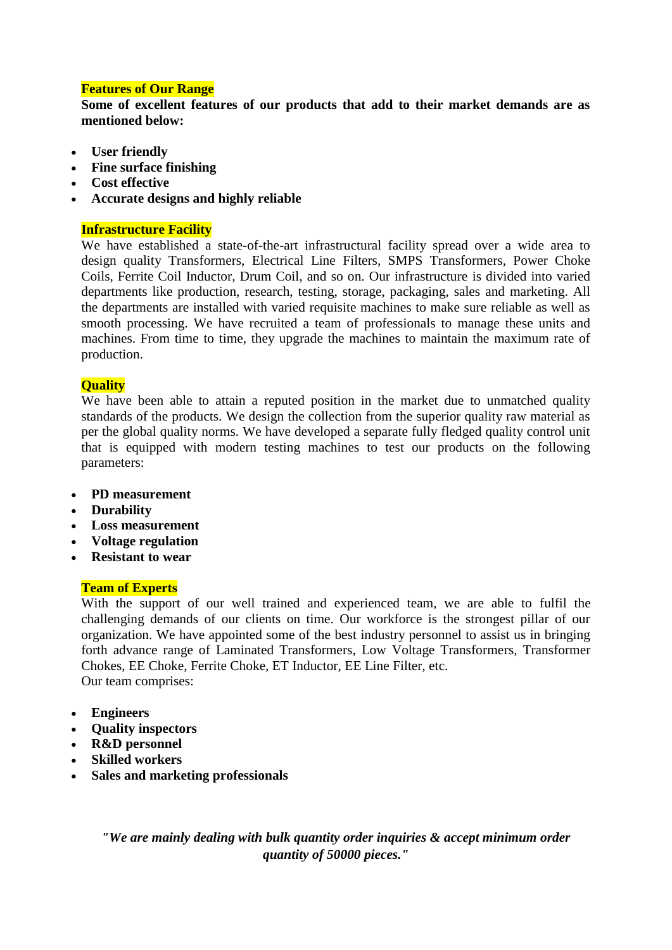## **Features of Our Range**

**Some of excellent features of our products that add to their market demands are as mentioned below:**

- **User friendly**
- **Fine surface finishing**
- **Cost effective**
- **Accurate designs and highly reliable**

#### **Infrastructure Facility**

We have established a state-of-the-art infrastructural facility spread over a wide area to design quality Transformers, Electrical Line Filters, SMPS Transformers, Power Choke Coils, Ferrite Coil Inductor, Drum Coil, and so on. Our infrastructure is divided into varied departments like production, research, testing, storage, packaging, sales and marketing. All the departments are installed with varied requisite machines to make sure reliable as well as smooth processing. We have recruited a team of professionals to manage these units and machines. From time to time, they upgrade the machines to maintain the maximum rate of production.

#### **Quality**

We have been able to attain a reputed position in the market due to unmatched quality standards of the products. We design the collection from the superior quality raw material as per the global quality norms. We have developed a separate fully fledged quality control unit that is equipped with modern testing machines to test our products on the following parameters:

- **PD measurement**
- **Durability**
- **Loss measurement**
- **Voltage regulation**
- **Resistant to wear**

#### **Team of Experts**

With the support of our well trained and experienced team, we are able to fulfil the challenging demands of our clients on time. Our workforce is the strongest pillar of our organization. We have appointed some of the best industry personnel to assist us in bringing forth advance range of Laminated Transformers, Low Voltage Transformers, Transformer Chokes, EE Choke, Ferrite Choke, ET Inductor, EE Line Filter, etc. Our team comprises:

- **Engineers**
- **Quality inspectors**
- **R&D personnel**
- **Skilled workers**
- **Sales and marketing professionals**

*"We are mainly dealing with bulk quantity order inquiries & accept minimum order quantity of 50000 pieces."*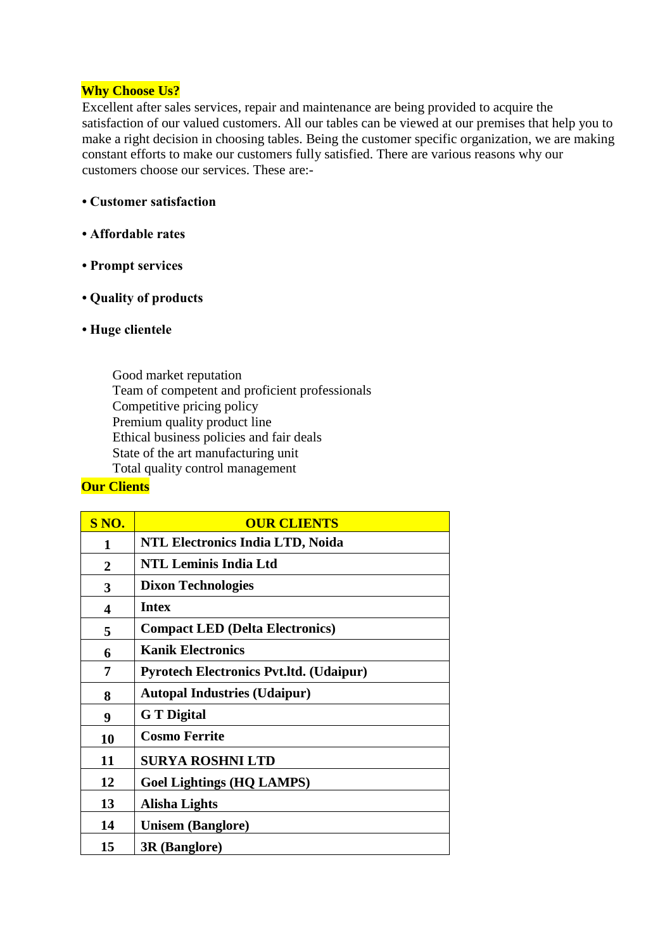#### **Why Choose Us?**

Excellent after sales services, repair and maintenance are being provided to acquire the satisfaction of our valued customers. All our tables can be viewed at our premises that help you to make a right decision in choosing tables. Being the customer specific organization, we are making constant efforts to make our customers fully satisfied. There are various reasons why our customers choose our services. These are:-

- **Customer satisfaction**
- **Affordable rates**
- **Prompt services**
- **Quality of products**
- **Huge clientele**

Good market reputation Team of competent and proficient professionals Competitive pricing policy Premium quality product line Ethical business policies and fair deals State of the art manufacturing unit Total quality control management

# **Our Clients**

| S NO.          | <b>OUR CLIENTS</b>                             |
|----------------|------------------------------------------------|
| 1              | <b>NTL Electronics India LTD, Noida</b>        |
| $\overline{2}$ | <b>NTL Leminis India Ltd</b>                   |
| 3              | <b>Dixon Technologies</b>                      |
| 4              | <b>Intex</b>                                   |
| 5              | <b>Compact LED (Delta Electronics)</b>         |
| 6              | <b>Kanik Electronics</b>                       |
| 7              | <b>Pyrotech Electronics Pvt.ltd. (Udaipur)</b> |
| 8              | <b>Autopal Industries (Udaipur)</b>            |
| 9              | <b>G</b> T Digital                             |
| 10             | <b>Cosmo Ferrite</b>                           |
| 11             | <b>SURYA ROSHNI LTD</b>                        |
| 12             | <b>Goel Lightings (HQ LAMPS)</b>               |
| 13             | Alisha Lights                                  |
| 14             | <b>Unisem (Banglore)</b>                       |
| 15             | <b>3R</b> (Banglore)                           |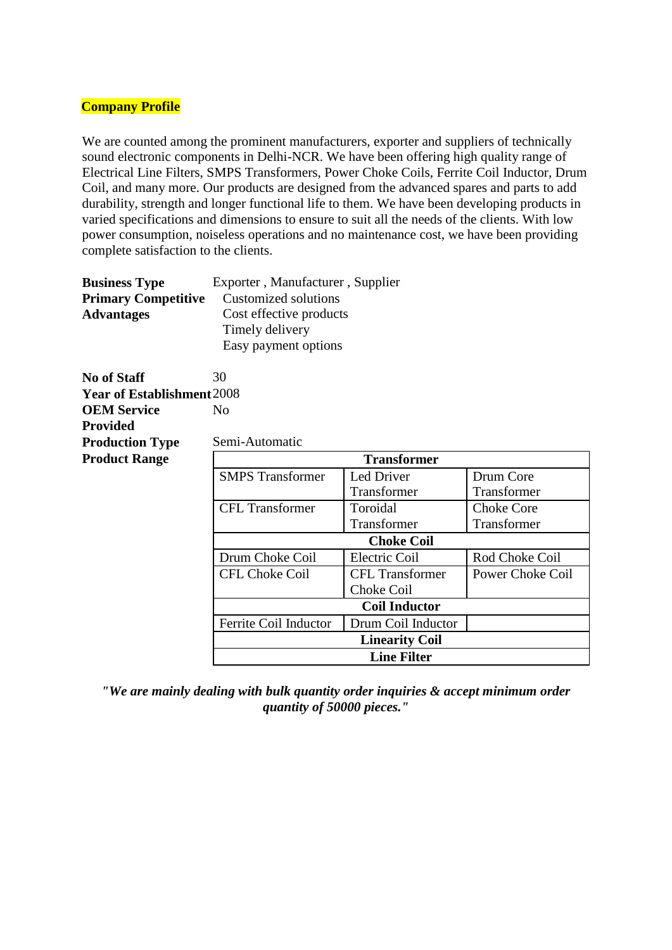#### **Company Profile**

We are counted among the prominent manufacturers, exporter and suppliers of technically sound electronic components in Delhi-NCR. We have been offering high quality range of Electrical Line Filters, SMPS Transformers, Power Choke Coils, Ferrite Coil Inductor, Drum Coil, and many more. Our products are designed from the advanced spares and parts to add durability, strength and longer functional life to them. We have been developing products in varied specifications and dimensions to ensure to suit all the needs of the clients. With low power consumption, noiseless operations and no maintenance cost, we have been providing complete satisfaction to the clients.

| <b>Business Type</b>       | Exporter, Manufacturer, Supplier |
|----------------------------|----------------------------------|
| <b>Primary Competitive</b> | Customized solutions             |
| <b>Advantages</b>          | Cost effective products          |
|                            | Timely delivery                  |
|                            | Easy payment options             |

**No of Staff** 30 **Year of Establishment**2008 **OEM Service Provided** No **Production Type** Semi-Automatic

**Product Range Transformer** SMPS Transformer Led Driver Transformer Drum Core Transformer CFL Transformer Toroidal Transformer Choke Core Transformer **Choke Coil** Drum Choke Coil Electric Coil Rod Choke Coil CFL Choke Coil CFL Transformer Choke Coil Power Choke Coil **Coil Inductor** Ferrite Coil Inductor Drum Coil Inductor **Linearity Coil Line Filter**

*"We are mainly dealing with bulk quantity order inquiries & accept minimum order quantity of 50000 pieces."*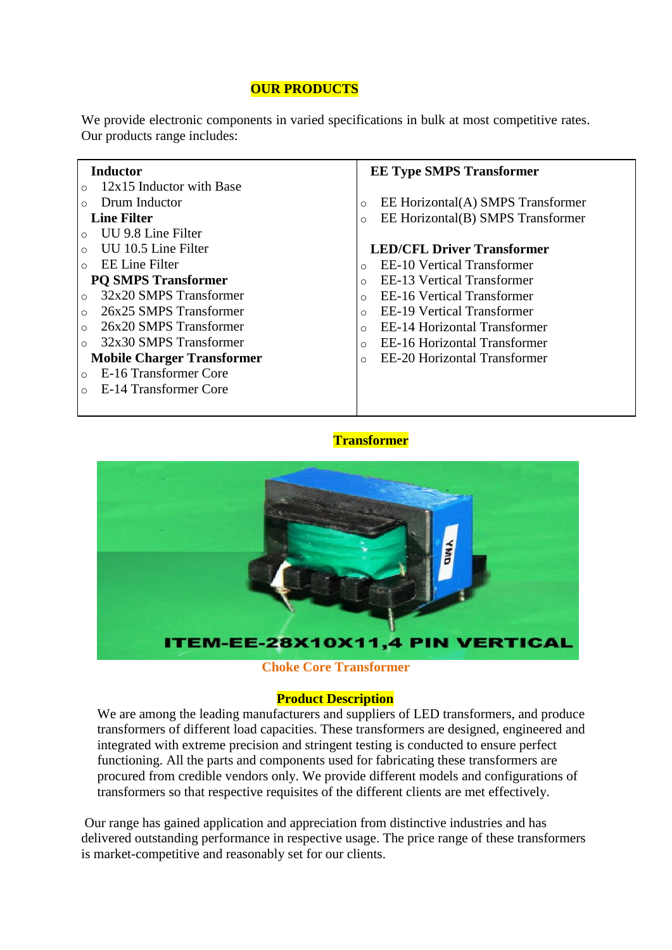# **OUR PRODUCTS**

We provide electronic components in varied specifications in bulk at most competitive rates. Our products range includes:

#### **Inductor**

- $\circ$  12x15 Inductor with Base
- o Drum Inductor

#### **Line Filter**

- o UU 9.8 Line Filter
- o UU 10.5 Line Filter
- o EE Line Filter

#### **PQ SMPS Transformer**

- o 32x20 SMPS Transformer
- o 26x25 SMPS Transformer
- o 26x20 SMPS Transformer
- o 32x30 SMPS Transformer

# **Mobile Charger Transformer**

- o E-16 Transformer Core
- o E-14 Transformer Core

#### **EE Type SMPS Transformer**

- o EE Horizontal(A) SMPS Transformer
- o EE Horizontal(B) SMPS Transformer

#### **LED/CFL Driver Transformer**

- o EE-10 Vertical Transformer
- o EE-13 Vertical Transformer
- o EE-16 Vertical Transformer
- o EE-19 Vertical Transformer
- o EE-14 Horizontal Transformer
- o EE-16 Horizontal Transformer
- o EE-20 Horizontal Transformer

#### **Transformer**



#### **Choke Core Transformer**

#### **Product Description**

We are among the leading manufacturers and suppliers of LED transformers, and produce transformers of different load capacities. These transformers are designed, engineered and integrated with extreme precision and stringent testing is conducted to ensure perfect functioning. All the parts and components used for fabricating these transformers are procured from credible vendors only. We provide different models and configurations of transformers so that respective requisites of the different clients are met effectively.

Our range has gained application and appreciation from distinctive industries and has delivered outstanding performance in respective usage. The price range of these transformers is market-competitive and reasonably set for our clients.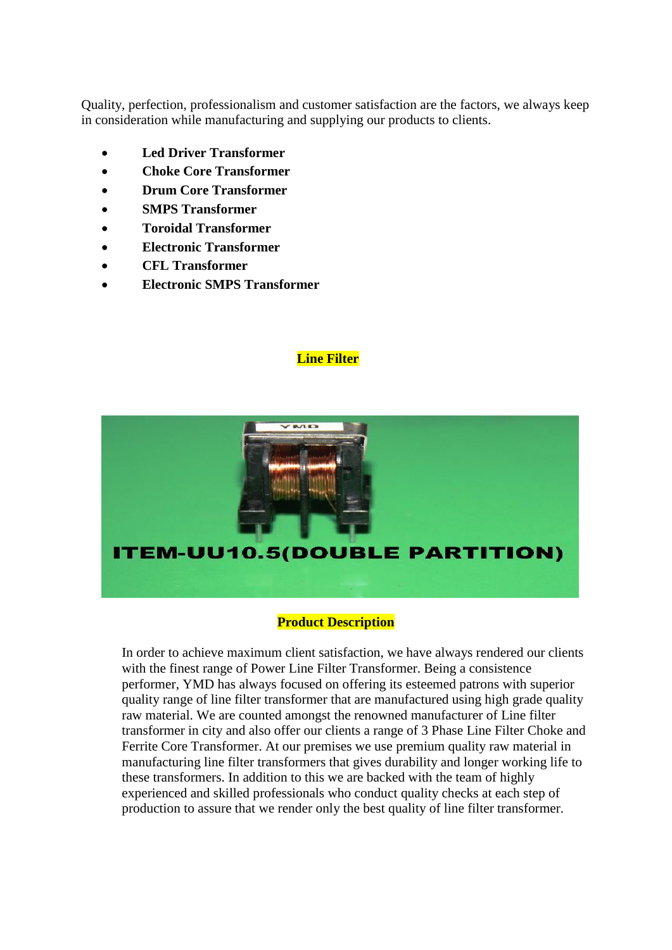Quality, perfection, professionalism and customer satisfaction are the factors, we always keep in consideration while manufacturing and supplying our products to clients.

- **Led Driver Transformer**
- **Choke Core Transformer**
- **Drum Core Transformer**
- **SMPS Transformer**
- **Toroidal Transformer**
- **Electronic Transformer**
- **CFL Transformer**
- **Electronic SMPS Transformer**

#### **Line Filter**



#### **Product Description**

In order to achieve maximum client satisfaction, we have always rendered our clients with the finest range of Power Line Filter Transformer. Being a consistence performer, YMD has always focused on offering its esteemed patrons with superior quality range of line filter transformer that are manufactured using high grade quality raw material. We are counted amongst the renowned manufacturer of Line filter transformer in city and also offer our clients a range of 3 Phase Line Filter Choke and Ferrite Core Transformer. At our premises we use premium quality raw material in manufacturing line filter transformers that gives durability and longer working life to these transformers. In addition to this we are backed with the team of highly experienced and skilled professionals who conduct quality checks at each step of production to assure that we render only the best quality of line filter transformer.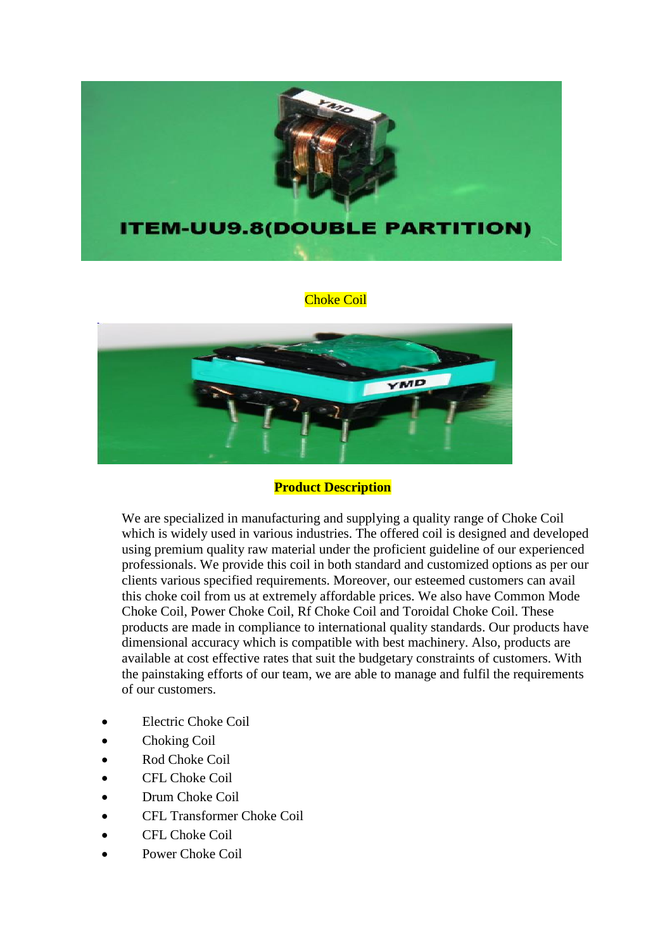

#### Choke Coil



#### **Product Description**

We are specialized in manufacturing and supplying a quality range of Choke Coil which is widely used in various industries. The offered coil is designed and developed using premium quality raw material under the proficient guideline of our experienced professionals. We provide this coil in both standard and customized options as per our clients various specified requirements. Moreover, our esteemed customers can avail this choke coil from us at extremely affordable prices. We also have Common Mode Choke Coil, Power Choke Coil, Rf Choke Coil and Toroidal Choke Coil. These products are made in compliance to international quality standards. Our products have dimensional accuracy which is compatible with best machinery. Also, products are available at cost effective rates that suit the budgetary constraints of customers. With the painstaking efforts of our team, we are able to manage and fulfil the requirements of our customers.

- Electric Choke Coil
- Choking Coil
- Rod Choke Coil
- CFL Choke Coil
- Drum Choke Coil
- CFL Transformer Choke Coil
- CFL Choke Coil
- Power Choke Coil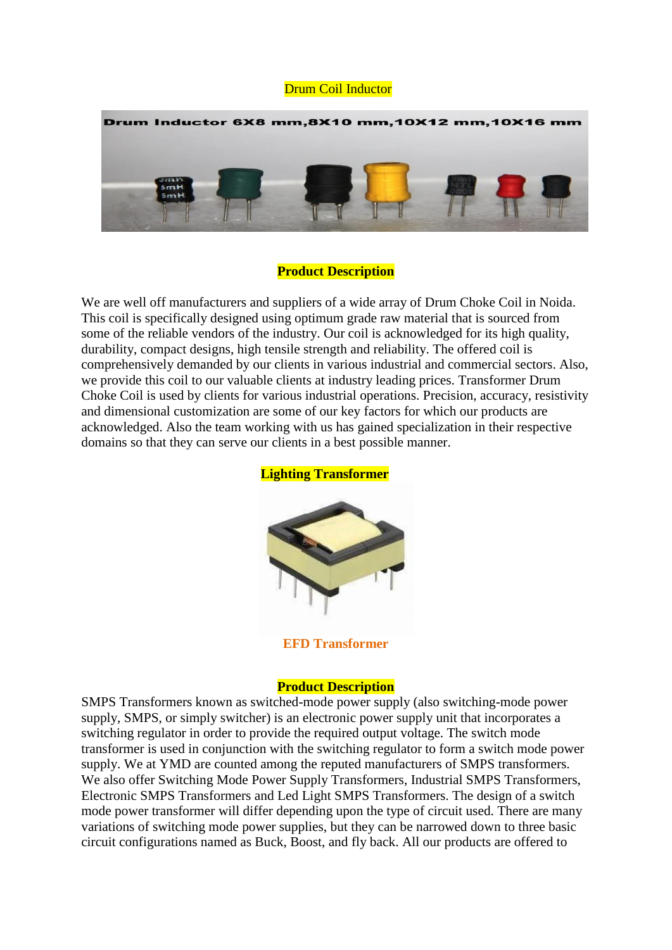#### Drum Coil Inductor



#### **Product Description**

We are well off manufacturers and suppliers of a wide array of Drum Choke Coil in Noida. This coil is specifically designed using optimum grade raw material that is sourced from some of the reliable vendors of the industry. Our coil is acknowledged for its high quality, durability, compact designs, high tensile strength and reliability. The offered coil is comprehensively demanded by our clients in various industrial and commercial sectors. Also, we provide this coil to our valuable clients at industry leading prices. Transformer Drum Choke Coil is used by clients for various industrial operations. Precision, accuracy, resistivity and dimensional customization are some of our key factors for which our products are acknowledged. Also the team working with us has gained specialization in their respective domains so that they can serve our clients in a best possible manner.



#### **Lighting Transformer**

**EFD Transformer**

#### **Product Description**

SMPS Transformers known as switched-mode power supply (also switching-mode power supply, SMPS, or simply switcher) is an electronic power supply unit that incorporates a switching regulator in order to provide the required output voltage. The switch mode transformer is used in conjunction with the switching regulator to form a switch mode power supply. We at YMD are counted among the reputed manufacturers of SMPS transformers. We also offer Switching Mode Power Supply Transformers, Industrial SMPS Transformers, Electronic SMPS Transformers and Led Light SMPS Transformers. The design of a switch mode power transformer will differ depending upon the type of circuit used. There are many variations of switching mode power supplies, but they can be narrowed down to three basic circuit configurations named as Buck, Boost, and fly back. All our products are offered to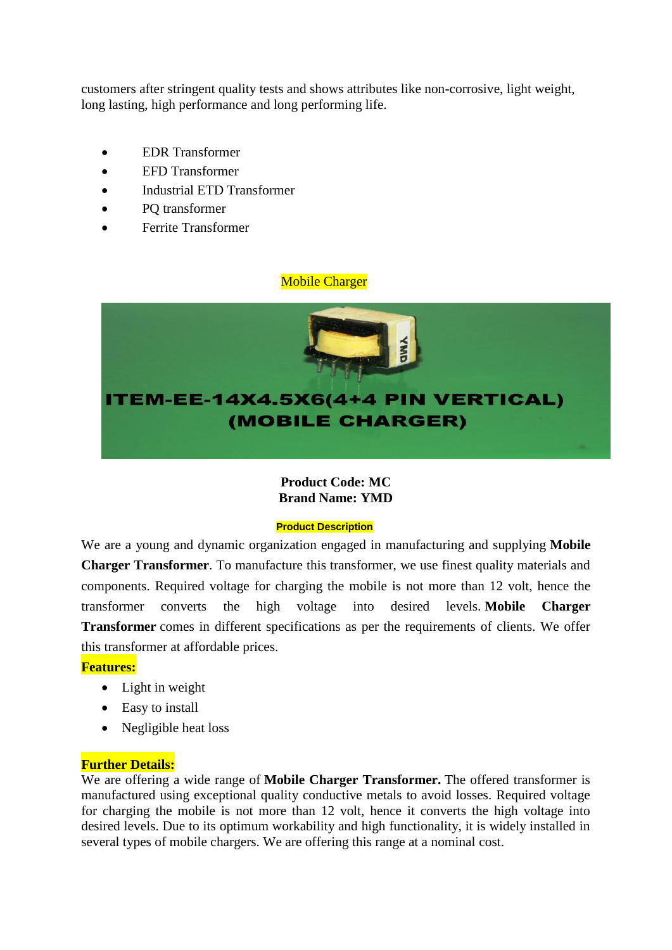customers after stringent quality tests and shows attributes like non-corrosive, light weight, long lasting, high performance and long performing life.

- EDR Transformer
- EFD Transformer
- Industrial ETD Transformer
- PO transformer
- Ferrite Transformer

#### Mobile Charger



# **Product Code: MC Brand Name: YMD**

#### **Product Description**

We are a young and dynamic organization engaged in manufacturing and supplying **Mobile Charger Transformer**. To manufacture this transformer, we use finest quality materials and components. Required voltage for charging the mobile is not more than 12 volt, hence the transformer converts the high voltage into desired levels. **Mobile Charger Transformer** comes in different specifications as per the requirements of clients. We offer this transformer at affordable prices.

# **Features:**

- Light in weight
- Easy to install
- Negligible heat loss

# **Further Details:**

We are offering a wide range of **Mobile Charger Transformer.** The offered transformer is manufactured using exceptional quality conductive metals to avoid losses. Required voltage for charging the mobile is not more than 12 volt, hence it converts the high voltage into desired levels. Due to its optimum workability and high functionality, it is widely installed in several types of mobile chargers. We are offering this range at a nominal cost.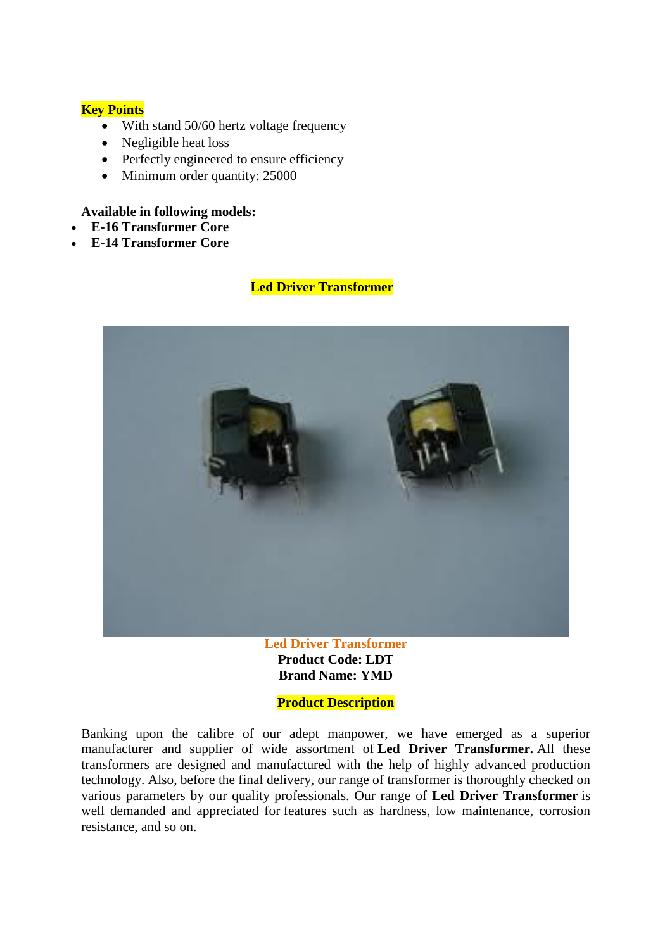# **Key Points**

- With stand 50/60 hertz voltage frequency
- Negligible heat loss
- Perfectly engineered to ensure efficiency
- Minimum order quantity: 25000

## **Available in following models:**

- **E-16 Transformer Core**
- **E-14 Transformer Core**

# **Led Driver Transformer**



**Led Driver Transformer Product Code: LDT Brand Name: YMD**

# **Product Description**

Banking upon the calibre of our adept manpower, we have emerged as a superior manufacturer and supplier of wide assortment of **Led Driver Transformer.** All these transformers are designed and manufactured with the help of highly advanced production technology. Also, before the final delivery, our range of transformer is thoroughly checked on various parameters by our quality professionals. Our range of **Led Driver Transformer** is well demanded and appreciated for features such as hardness, low maintenance, corrosion resistance, and so on.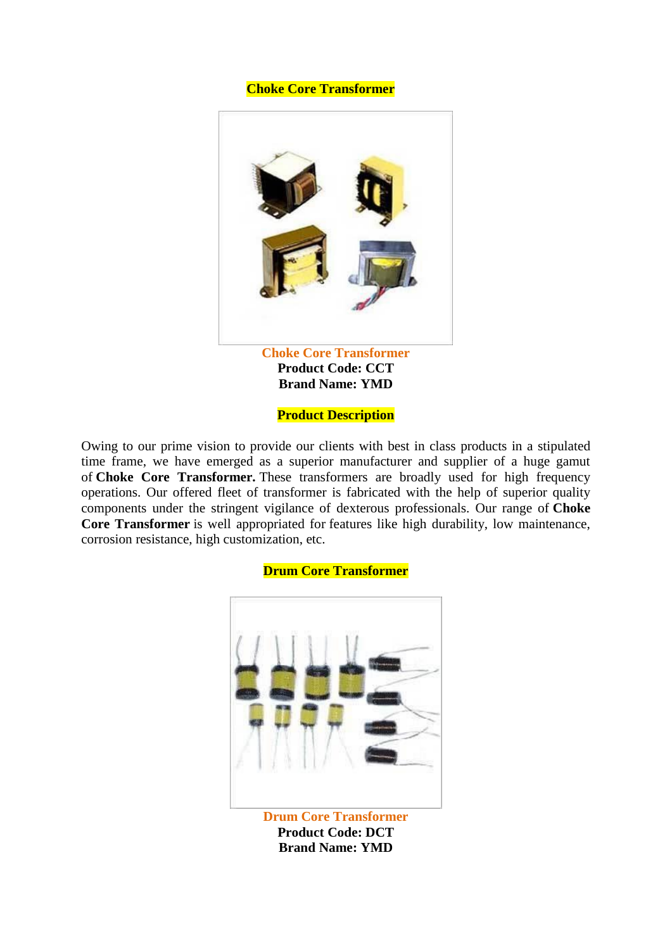#### **Choke Core Transformer**



**Product Code: CCT Brand Name: YMD**

**Product Description**

Owing to our prime vision to provide our clients with best in class products in a stipulated time frame, we have emerged as a superior manufacturer and supplier of a huge gamut of **Choke Core Transformer.** These transformers are broadly used for high frequency operations. Our offered fleet of transformer is fabricated with the help of superior quality components under the stringent vigilance of dexterous professionals. Our range of **Choke Core Transformer** is well appropriated for features like high durability, low maintenance, corrosion resistance, high customization, etc.

#### **Drum Core Transformer**



**Product Code: DCT Brand Name: YMD**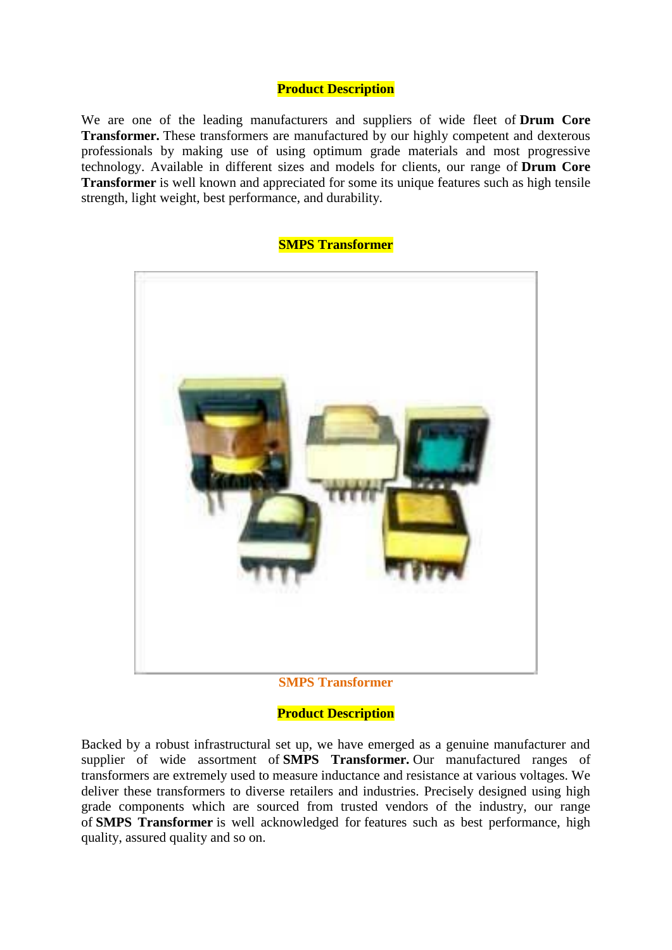# **Product Description**

We are one of the leading manufacturers and suppliers of wide fleet of **Drum Core Transformer.** These transformers are manufactured by our highly competent and dexterous professionals by making use of using optimum grade materials and most progressive technology. Available in different sizes and models for clients, our range of **Drum Core Transformer** is well known and appreciated for some its unique features such as high tensile strength, light weight, best performance, and durability.

#### **SMPS Transformer**



#### **SMPS Transformer**

#### **Product Description**

Backed by a robust infrastructural set up, we have emerged as a genuine manufacturer and supplier of wide assortment of **SMPS Transformer.** Our manufactured ranges of transformers are extremely used to measure inductance and resistance at various voltages. We deliver these transformers to diverse retailers and industries. Precisely designed using high grade components which are sourced from trusted vendors of the industry, our range of **SMPS Transformer** is well acknowledged for features such as best performance, high quality, assured quality and so on.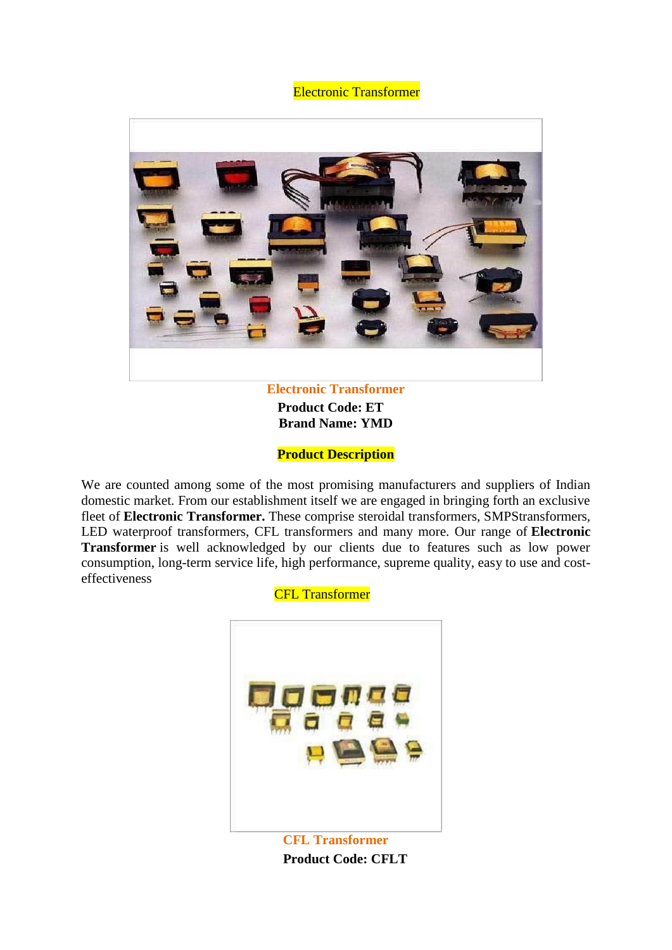**Electronic Transformer** 



 **Product Code: ET Brand Name: YMD**

**Product Description**

We are counted among some of the most promising manufacturers and suppliers of Indian domestic market. From our establishment itself we are engaged in bringing forth an exclusive fleet of **Electronic Transformer.** These comprise steroidal transformers, SMPStransformers, LED waterproof transformers, CFL transformers and many more. Our range of **Electronic Transformer** is well acknowledged by our clients due to features such as low power consumption, long-term service life, high performance, supreme quality, easy to use and costeffectiveness

CFL Transformer



<< **Product Code: CFLT**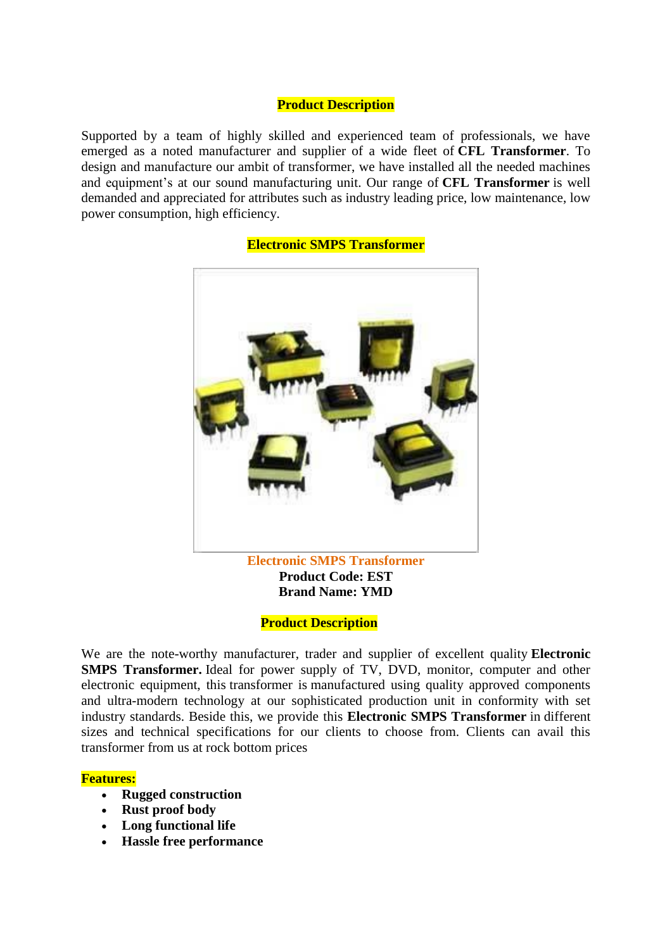## **Product Description**

Supported by a team of highly skilled and experienced team of professionals, we have emerged as a noted manufacturer and supplier of a wide fleet of **CFL Transformer**. To design and manufacture our ambit of transformer, we have installed all the needed machines and equipment's at our sound manufacturing unit. Our range of **CFL Transformer** is well demanded and appreciated for attributes such as industry leading price, low maintenance, low power consumption, high efficiency.

# **Electronic SMPS Transformer Product Code: EST Brand Name: YMD**

#### **Electronic SMPS Transformer**

#### **Product Description**

We are the note-worthy manufacturer, trader and supplier of excellent quality **Electronic SMPS Transformer.** Ideal for power supply of TV, DVD, monitor, computer and other electronic equipment, this transformer is manufactured using quality approved components and ultra-modern technology at our sophisticated production unit in conformity with set industry standards. Beside this, we provide this **Electronic SMPS Transformer** in different sizes and technical specifications for our clients to choose from. Clients can avail this transformer from us at rock bottom prices

#### **Features:**

- **Rugged construction**
- **Rust proof body**
- **Long functional life**
- **Hassle free performance**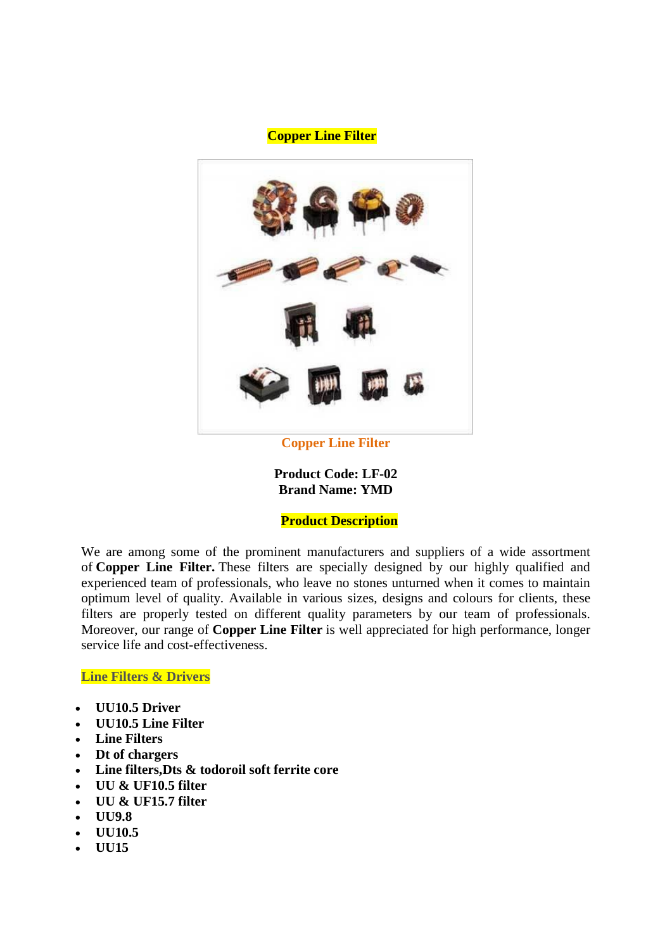## **Copper Line Filter**



**Copper Line Filter**

**Product Code: LF-02 Brand Name: YMD**

# **Product Description**

We are among some of the prominent manufacturers and suppliers of a wide assortment of **Copper Line Filter.** These filters are specially designed by our highly qualified and experienced team of professionals, who leave no stones unturned when it comes to maintain optimum level of quality. Available in various sizes, designs and colours for clients, these filters are properly tested on different quality parameters by our team of professionals. Moreover, our range of **Copper Line Filter** is well appreciated for high performance, longer service life and cost-effectiveness.

**[Line Filters & Drivers](http://skelectronics.tradeindia.com/line-filters-drivers.html)**

- **[UU10.5 Driver](http://skelectronics.tradeindia.com/uu10-5-driver-2732886.html)**
- **[UU10.5 Line Filter](http://skelectronics.tradeindia.com/uu10-5-line-filter-2732880.html)**
- **[Line Filters](http://skelectronics.tradeindia.com/line-filters-2732865.html)**
- **[Dt of chargers](http://skelectronics.tradeindia.com/dt-of-chargers-2732804.html)**
- **[Line filters,Dts & todoroil soft ferrite core](http://skelectronics.tradeindia.com/line-filters-dts-todoroil-soft-ferrite-core-2732855.html)**
- **[UU & UF10.5 filter](http://skelectronics.tradeindia.com/uu-uf10-5-filter-2732902.html)**
- **[UU & UF15.7 filter](http://skelectronics.tradeindia.com/uu-uf15-7-filter-2732911.html)**
- **[UU9.8](http://skelectronics.tradeindia.com/uu9-8-4321487.html)**
- **[UU10.5](http://skelectronics.tradeindia.com/uu10-5-4321490.html)**
- **[UU15](http://skelectronics.tradeindia.com/uu15-4321493.html)**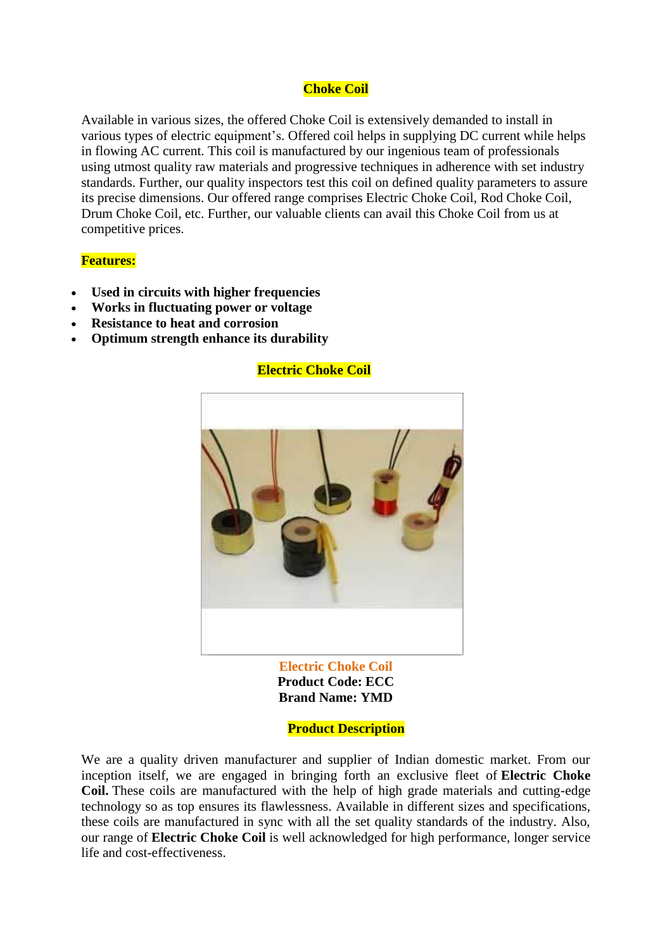# **Choke Coil**

Available in various sizes, the offered Choke Coil is extensively demanded to install in various types of electric equipment's. Offered coil helps in supplying DC current while helps in flowing AC current. This coil is manufactured by our ingenious team of professionals using utmost quality raw materials and progressive techniques in adherence with set industry standards. Further, our quality inspectors test this coil on defined quality parameters to assure its precise dimensions. Our offered range comprises Electric Choke Coil, Rod Choke Coil, Drum Choke Coil, etc. Further, our valuable clients can avail this Choke Coil from us at competitive prices.

#### **Features:**

- **Used in circuits with higher frequencies**
- **Works in fluctuating power or voltage**
- **Resistance to heat and corrosion**
- **Optimum strength enhance its durability**

# **Electric Choke Coil**



**Electric Choke Coil Product Code: ECC Brand Name: YMD**

 **Product Description**

We are a quality driven manufacturer and supplier of Indian domestic market. From our inception itself, we are engaged in bringing forth an exclusive fleet of **Electric Choke Coil.** These coils are manufactured with the help of high grade materials and cutting-edge technology so as top ensures its flawlessness. Available in different sizes and specifications, these coils are manufactured in sync with all the set quality standards of the industry. Also, our range of **Electric Choke Coil** is well acknowledged for high performance, longer service life and cost-effectiveness.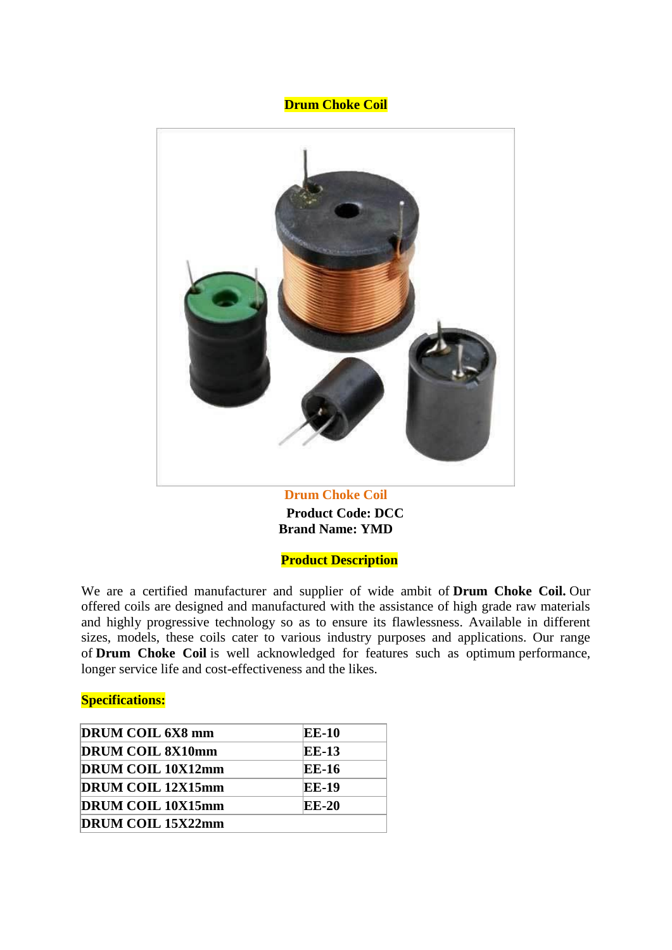#### **Drum Choke Coil**



**Drum Choke Coil << Product Code: DCC Brand Name: YMD**

**Product Description**

We are a certified manufacturer and supplier of wide ambit of **Drum Choke Coil.** Our offered coils are designed and manufactured with the assistance of high grade raw materials and highly progressive technology so as to ensure its flawlessness. Available in different sizes, models, these coils cater to various industry purposes and applications. Our range of **Drum Choke Coil** is well acknowledged for features such as optimum performance, longer service life and cost-effectiveness and the likes.

#### **Specifications:**

| DRUM COIL 6X8 mm         | <b>EE-10</b> |
|--------------------------|--------------|
| <b>DRUM COIL 8X10mm</b>  | EE-13        |
| <b>DRUM COIL 10X12mm</b> | EE-16        |
| <b>DRUM COIL 12X15mm</b> | <b>EE-19</b> |
| <b>DRUM COIL 10X15mm</b> | EE-20        |
| <b>DRUM COIL 15X22mm</b> |              |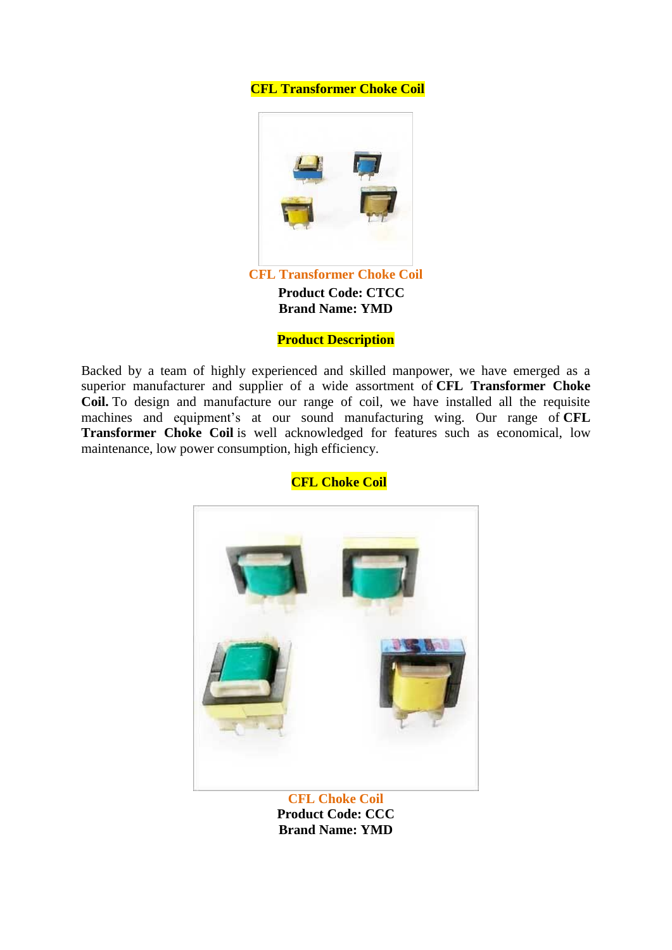# **CFL Transformer Choke Coil**



#### **Product Description**

Backed by a team of highly experienced and skilled manpower, we have emerged as a superior manufacturer and supplier of a wide assortment of **CFL Transformer Choke Coil.** To design and manufacture our range of coil, we have installed all the requisite machines and equipment's at our sound manufacturing wing. Our range of **CFL Transformer Choke Coil** is well acknowledged for features such as economical, low maintenance, low power consumption, high efficiency.



**CFL Choke Coil>**

**Product Code: CCC Brand Name: YMD**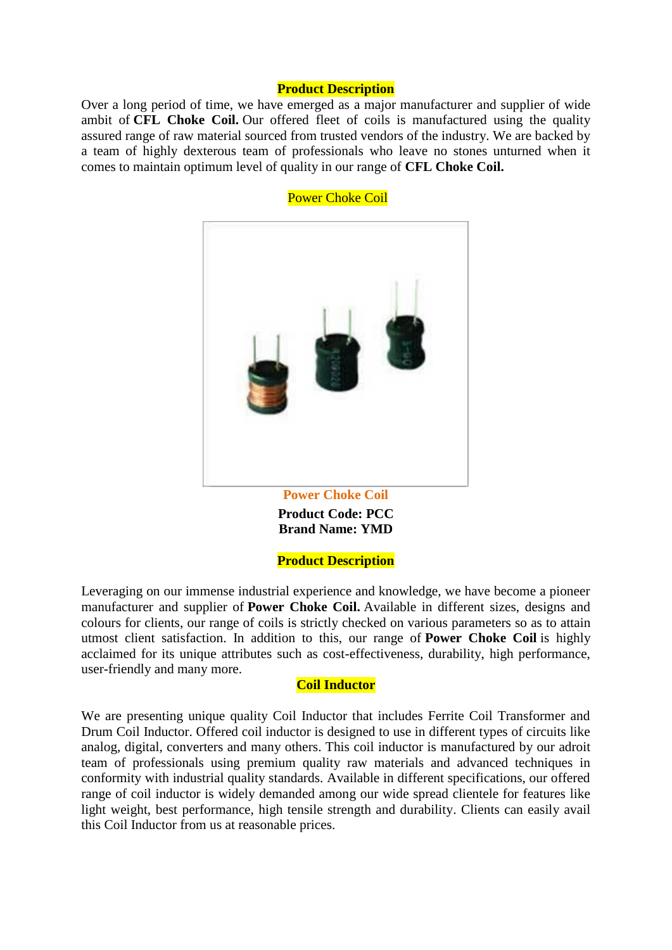#### **Product Description**

Over a long period of time, we have emerged as a major manufacturer and supplier of wide ambit of **CFL Choke Coil.** Our offered fleet of coils is manufactured using the quality assured range of raw material sourced from trusted vendors of the industry. We are backed by a team of highly dexterous team of professionals who leave no stones unturned when it comes to maintain optimum level of quality in our range of **CFL Choke Coil.**



**Power Choke Coil** 

**Product Code: PCC Brand Name: YMD**

**Product Description**

Leveraging on our immense industrial experience and knowledge, we have become a pioneer manufacturer and supplier of **Power Choke Coil.** Available in different sizes, designs and colours for clients, our range of coils is strictly checked on various parameters so as to attain utmost client satisfaction. In addition to this, our range of **Power Choke Coil** is highly acclaimed for its unique attributes such as cost-effectiveness, durability, high performance, user-friendly and many more.

#### **Coil Inductor**

We are presenting unique quality Coil Inductor that includes Ferrite Coil Transformer and Drum Coil Inductor. Offered coil inductor is designed to use in different types of circuits like analog, digital, converters and many others. This coil inductor is manufactured by our adroit team of professionals using premium quality raw materials and advanced techniques in conformity with industrial quality standards. Available in different specifications, our offered range of coil inductor is widely demanded among our wide spread clientele for features like light weight, best performance, high tensile strength and durability. Clients can easily avail this Coil Inductor from us at reasonable prices.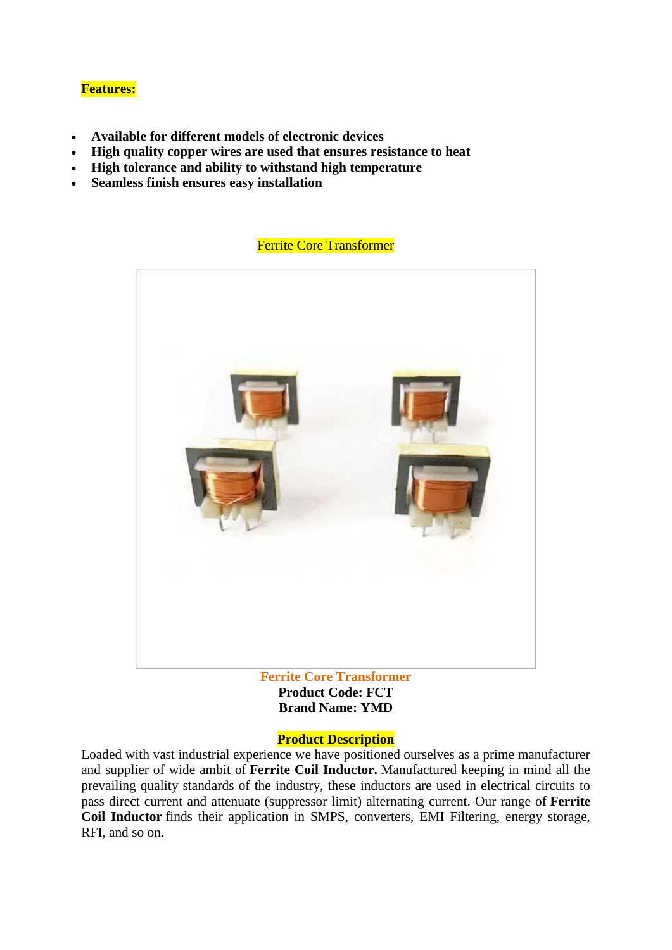# **Features:**

- **Available for different models of electronic devices**
- **High quality copper wires are used that ensures resistance to heat**
- **High tolerance and ability to withstand high temperature**
- **Seamless finish ensures easy installation**

# **Ferrite Core Transformer**



**Product Code: FCT Brand Name: YMD**

# **Product Description**

Loaded with vast industrial experience we have positioned ourselves as a prime manufacturer and supplier of wide ambit of **Ferrite Coil Inductor.** Manufactured keeping in mind all the prevailing quality standards of the industry, these inductors are used in electrical circuits to pass direct current and attenuate (suppressor limit) alternating current. Our range of **Ferrite Coil Inductor** finds their application in SMPS, converters, EMI Filtering, energy storage, RFI, and so on.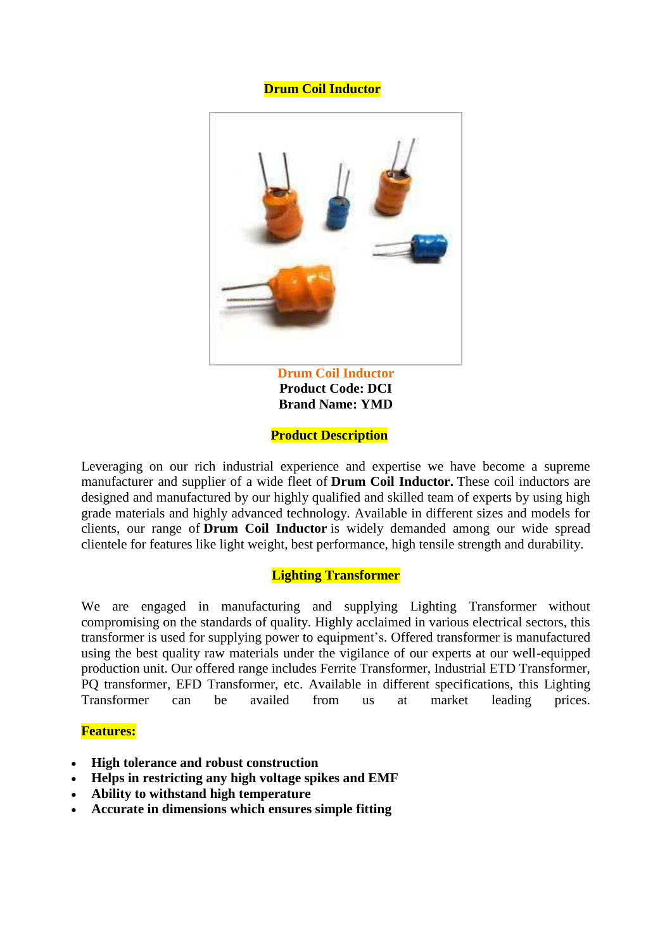# **Drum Coil Inductor**



**Product Code: DCI Brand Name: YMD**

#### **Product Description**

Leveraging on our rich industrial experience and expertise we have become a supreme manufacturer and supplier of a wide fleet of **Drum Coil Inductor.** These coil inductors are designed and manufactured by our highly qualified and skilled team of experts by using high grade materials and highly advanced technology. Available in different sizes and models for clients, our range of **Drum Coil Inductor** is widely demanded among our wide spread clientele for features like light weight, best performance, high tensile strength and durability.

#### **Lighting Transformer**

We are engaged in manufacturing and supplying Lighting Transformer without compromising on the standards of quality. Highly acclaimed in various electrical sectors, this transformer is used for supplying power to equipment's. Offered transformer is manufactured using the best quality raw materials under the vigilance of our experts at our well-equipped production unit. Our offered range includes Ferrite Transformer, Industrial ETD Transformer, PQ transformer, EFD Transformer, etc. Available in different specifications, this Lighting Transformer can be availed from us at market leading prices.

#### **Features:**

- **High tolerance and robust construction**
- **Helps in restricting any high voltage spikes and EMF**
- **Ability to withstand high temperature**
- **Accurate in dimensions which ensures simple fitting**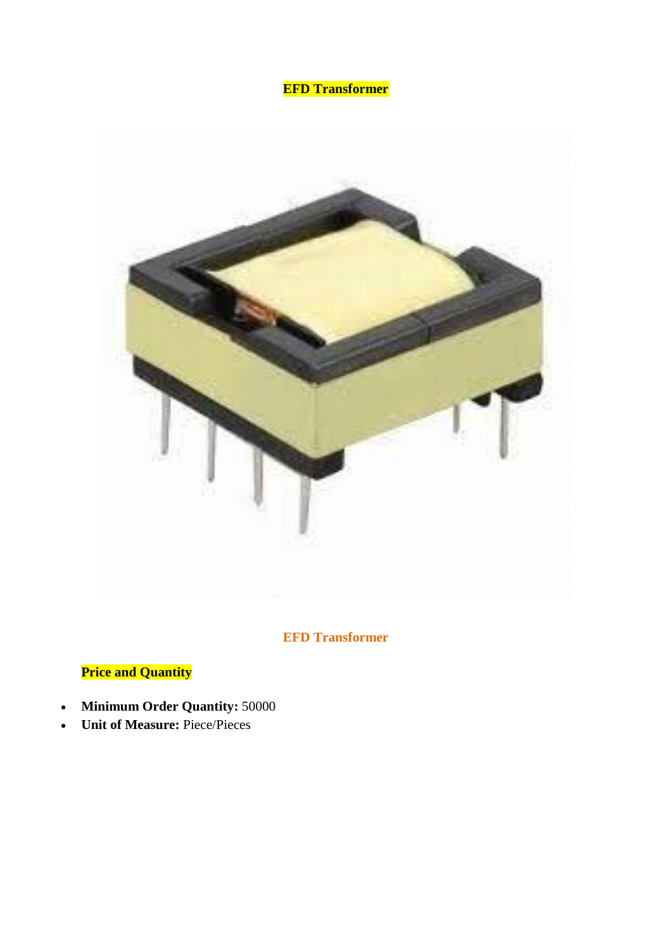# **EFD Transformer**



# **EFD Transformer**

# **Price and Quantity**

- **Minimum Order Quantity:** 50000
- **Unit of Measure:** Piece/Pieces